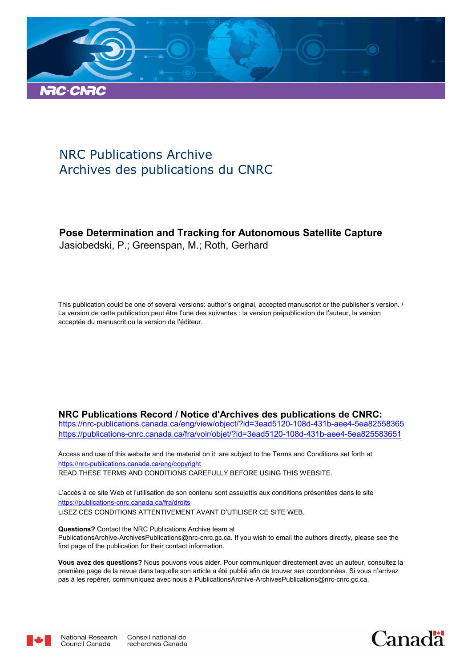

# NRC Publications Archive Archives des publications du CNRC

### **Pose Determination and Tracking for Autonomous Satellite Capture** Jasiobedski, P.; Greenspan, M.; Roth, Gerhard

This publication could be one of several versions: author's original, accepted manuscript or the publisher's version. / La version de cette publication peut être l'une des suivantes : la version prépublication de l'auteur, la version acceptée du manuscrit ou la version de l'éditeur.

#### **NRC Publications Record / Notice d'Archives des publications de CNRC:**

https://nrc-publications.canada.ca/eng/view/object/?id=3ead5120-108d-431b-aee4-5ea82558365 https://publications-cnrc.canada.ca/fra/voir/objet/?id=3ead5120-108d-431b-aee4-5ea825583651

READ THESE TERMS AND CONDITIONS CAREFULLY BEFORE USING THIS WEBSITE. https://nrc-publications.canada.ca/eng/copyright Access and use of this website and the material on it are subject to the Terms and Conditions set forth at

https://publications-cnrc.canada.ca/fra/droits L'accès à ce site Web et l'utilisation de son contenu sont assujettis aux conditions présentées dans le site LISEZ CES CONDITIONS ATTENTIVEMENT AVANT D'UTILISER CE SITE WEB.

**Questions?** Contact the NRC Publications Archive team at PublicationsArchive-ArchivesPublications@nrc-cnrc.gc.ca. If you wish to email the authors directly, please see the first page of the publication for their contact information.

**Vous avez des questions?** Nous pouvons vous aider. Pour communiquer directement avec un auteur, consultez la première page de la revue dans laquelle son article a été publié afin de trouver ses coordonnées. Si vous n'arrivez pas à les repérer, communiquez avec nous à PublicationsArchive-ArchivesPublications@nrc-cnrc.gc.ca.



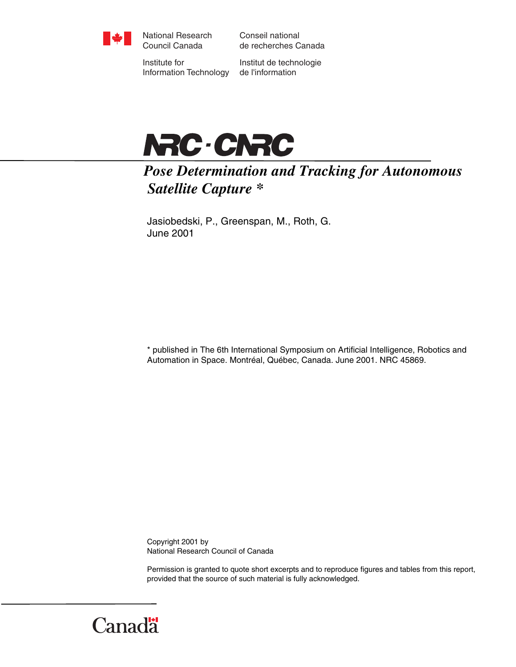

National Research Council Canada

Conseil national de recherches Canada

Institute for Information Technology

Institut de technologie de l'information



*Pose Determination and Tracking for Autonomous Satellite Capture \** 

Jasiobedski, P., Greenspan, M., Roth, G. June 2001

\* published in The 6th International Symposium on Artificial Intelligence, Robotics and Automation in Space. Montréal, Québec, Canada. June 2001. NRC 45869.

Copyright 2001 by National Research Council of Canada

Permission is granted to quote short excerpts and to reproduce figures and tables from this report, provided that the source of such material is fully acknowledged.

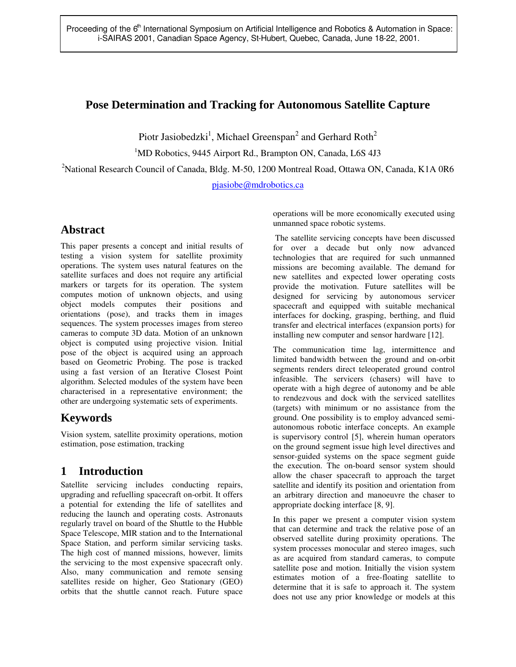### **Pose Determination and Tracking for Autonomous Satellite Capture**

Piotr Jasiobedzki<sup>1</sup>, Michael Greenspan<sup>2</sup> and Gerhard Roth<sup>2</sup>

<sup>1</sup>MD Robotics, 9445 Airport Rd., Brampton ON, Canada, L6S 4J3

<sup>2</sup>National Research Council of Canada, Bldg. M-50, 1200 Montreal Road, Ottawa ON, Canada, K1A 0R6

pjasiobe@mdrobotics.ca

## **Abstract**

This paper presents a concept and initial results of testing a vision system for satellite proximity operations. The system uses natural features on the satellite surfaces and does not require any artificial markers or targets for its operation. The system computes motion of unknown objects, and using object models computes their positions and orientations (pose), and tracks them in images sequences. The system processes images from stereo cameras to compute 3D data. Motion of an unknown object is computed using projective vision. Initial pose of the object is acquired using an approach based on Geometric Probing. The pose is tracked using a fast version of an Iterative Closest Point algorithm. Selected modules of the system have been characterised in a representative environment; the other are undergoing systematic sets of experiments.

## **Keywords**

Vision system, satellite proximity operations, motion estimation, pose estimation, tracking

## **1 Introduction**

Satellite servicing includes conducting repairs, upgrading and refuelling spacecraft on-orbit. It offers a potential for extending the life of satellites and reducing the launch and operating costs. Astronauts regularly travel on board of the Shuttle to the Hubble Space Telescope, MIR station and to the International Space Station, and perform similar servicing tasks. The high cost of manned missions, however, limits the servicing to the most expensive spacecraft only. Also, many communication and remote sensing satellites reside on higher, Geo Stationary (GEO) orbits that the shuttle cannot reach. Future space

operations will be more economically executed using unmanned space robotic systems.

 The satellite servicing concepts have been discussed for over a decade but only now advanced technologies that are required for such unmanned missions are becoming available. The demand for new satellites and expected lower operating costs provide the motivation. Future satellites will be designed for servicing by autonomous servicer spacecraft and equipped with suitable mechanical interfaces for docking, grasping, berthing, and fluid transfer and electrical interfaces (expansion ports) for installing new computer and sensor hardware [12].

The communication time lag, intermittence and limited bandwidth between the ground and on-orbit segments renders direct teleoperated ground control infeasible. The servicers (chasers) will have to operate with a high degree of autonomy and be able to rendezvous and dock with the serviced satellites (targets) with minimum or no assistance from the ground. One possibility is to employ advanced semiautonomous robotic interface concepts. An example is supervisory control [5], wherein human operators on the ground segment issue high level directives and sensor-guided systems on the space segment guide the execution. The on-board sensor system should allow the chaser spacecraft to approach the target satellite and identify its position and orientation from an arbitrary direction and manoeuvre the chaser to appropriate docking interface [8, 9].

In this paper we present a computer vision system that can determine and track the relative pose of an observed satellite during proximity operations. The system processes monocular and stereo images, such as are acquired from standard cameras, to compute satellite pose and motion. Initially the vision system estimates motion of a free-floating satellite to determine that it is safe to approach it. The system does not use any prior knowledge or models at this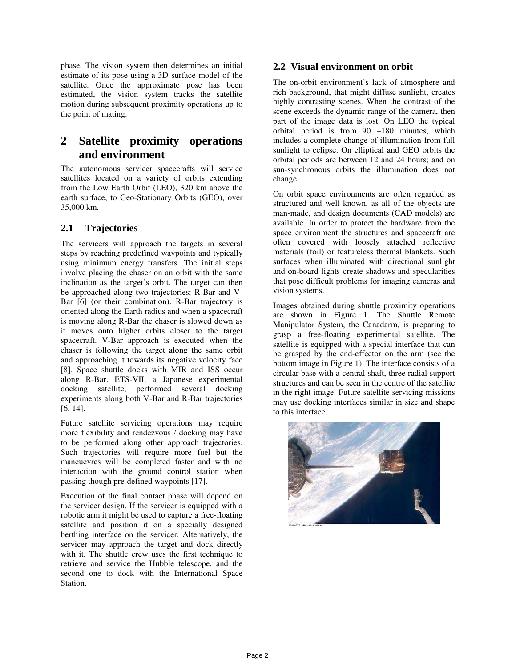phase. The vision system then determines an initial estimate of its pose using a 3D surface model of the satellite. Once the approximate pose has been estimated, the vision system tracks the satellite motion during subsequent proximity operations up to the point of mating.

## **2 Satellite proximity operations and environment**

The autonomous servicer spacecrafts will service satellites located on a variety of orbits extending from the Low Earth Orbit (LEO), 320 km above the earth surface, to Geo-Stationary Orbits (GEO), over 35,000 km.

### **2.1 Trajectories**

The servicers will approach the targets in several steps by reaching predefined waypoints and typically using minimum energy transfers. The initial steps involve placing the chaser on an orbit with the same inclination as the target's orbit. The target can then be approached along two trajectories: R-Bar and V-Bar [6] (or their combination). R-Bar trajectory is oriented along the Earth radius and when a spacecraft is moving along R-Bar the chaser is slowed down as it moves onto higher orbits closer to the target spacecraft. V-Bar approach is executed when the chaser is following the target along the same orbit and approaching it towards its negative velocity face [8]. Space shuttle docks with MIR and ISS occur along R-Bar. ETS-VII, a Japanese experimental docking satellite, performed several docking experiments along both V-Bar and R-Bar trajectories [6, 14].

Future satellite servicing operations may require more flexibility and rendezvous / docking may have to be performed along other approach trajectories. Such trajectories will require more fuel but the maneuevres will be completed faster and with no interaction with the ground control station when passing though pre-defined waypoints [17].

Execution of the final contact phase will depend on the servicer design. If the servicer is equipped with a robotic arm it might be used to capture a free-floating satellite and position it on a specially designed berthing interface on the servicer. Alternatively, the servicer may approach the target and dock directly with it. The shuttle crew uses the first technique to retrieve and service the Hubble telescope, and the second one to dock with the International Space Station.

### **2.2 Visual environment on orbit**

The on-orbit environment's lack of atmosphere and rich background, that might diffuse sunlight, creates highly contrasting scenes. When the contrast of the scene exceeds the dynamic range of the camera, then part of the image data is lost. On LEO the typical orbital period is from 90 –180 minutes, which includes a complete change of illumination from full sunlight to eclipse. On elliptical and GEO orbits the orbital periods are between 12 and 24 hours; and on sun-synchronous orbits the illumination does not change.

On orbit space environments are often regarded as structured and well known, as all of the objects are man-made, and design documents (CAD models) are available. In order to protect the hardware from the space environment the structures and spacecraft are often covered with loosely attached reflective materials (foil) or featureless thermal blankets. Such surfaces when illuminated with directional sunlight and on-board lights create shadows and specularities that pose difficult problems for imaging cameras and vision systems.

Images obtained during shuttle proximity operations are shown in Figure 1. The Shuttle Remote Manipulator System, the Canadarm, is preparing to grasp a free-floating experimental satellite. The satellite is equipped with a special interface that can be grasped by the end-effector on the arm (see the bottom image in Figure 1). The interface consists of a circular base with a central shaft, three radial support structures and can be seen in the centre of the satellite in the right image. Future satellite servicing missions may use docking interfaces similar in size and shape to this interface.

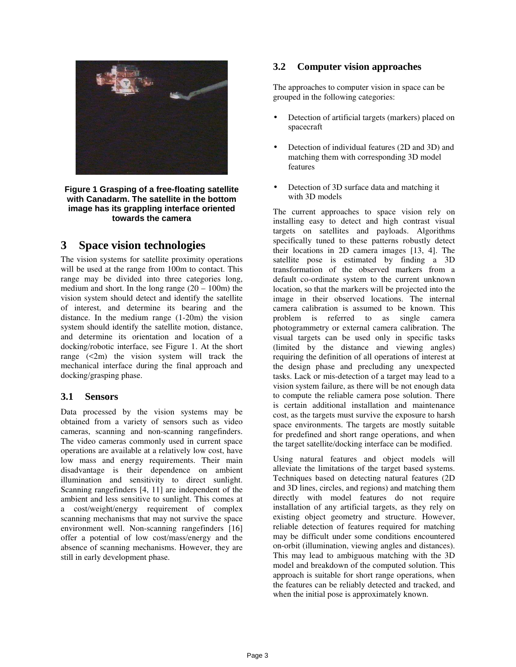

#### **Figure 1 Grasping of a free-floating satellite with Canadarm. The satellite in the bottom image has its grappling interface oriented towards the camera**

### **3 Space vision technologies**

The vision systems for satellite proximity operations will be used at the range from 100m to contact. This range may be divided into three categories long, medium and short. In the long range  $(20 - 100m)$  the vision system should detect and identify the satellite of interest, and determine its bearing and the distance. In the medium range (1-20m) the vision system should identify the satellite motion, distance, and determine its orientation and location of a docking/robotic interface, see Figure 1. At the short range  $(\leq 2m)$  the vision system will track the mechanical interface during the final approach and docking/grasping phase.

### **3.1 Sensors**

Data processed by the vision systems may be obtained from a variety of sensors such as video cameras, scanning and non-scanning rangefinders. The video cameras commonly used in current space operations are available at a relatively low cost, have low mass and energy requirements. Their main disadvantage is their dependence on ambient illumination and sensitivity to direct sunlight. Scanning rangefinders [4, 11] are independent of the ambient and less sensitive to sunlight. This comes at a cost/weight/energy requirement of complex scanning mechanisms that may not survive the space environment well. Non-scanning rangefinders [16] offer a potential of low cost/mass/energy and the absence of scanning mechanisms. However, they are still in early development phase.

### **3.2 Computer vision approaches**

The approaches to computer vision in space can be grouped in the following categories:

- Detection of artificial targets (markers) placed on spacecraft
- Detection of individual features (2D and 3D) and matching them with corresponding 3D model features
- Detection of 3D surface data and matching it with 3D models

The current approaches to space vision rely on installing easy to detect and high contrast visual targets on satellites and payloads. Algorithms specifically tuned to these patterns robustly detect their locations in 2D camera images [13, 4]. The satellite pose is estimated by finding a 3D transformation of the observed markers from a default co-ordinate system to the current unknown location, so that the markers will be projected into the image in their observed locations. The internal camera calibration is assumed to be known. This problem is referred to as single camera photogrammetry or external camera calibration. The visual targets can be used only in specific tasks (limited by the distance and viewing angles) requiring the definition of all operations of interest at the design phase and precluding any unexpected tasks. Lack or mis-detection of a target may lead to a vision system failure, as there will be not enough data to compute the reliable camera pose solution. There is certain additional installation and maintenance cost, as the targets must survive the exposure to harsh space environments. The targets are mostly suitable for predefined and short range operations, and when the target satellite/docking interface can be modified.

Using natural features and object models will alleviate the limitations of the target based systems. Techniques based on detecting natural features (2D and 3D lines, circles, and regions) and matching them directly with model features do not require installation of any artificial targets, as they rely on existing object geometry and structure. However, reliable detection of features required for matching may be difficult under some conditions encountered on-orbit (illumination, viewing angles and distances). This may lead to ambiguous matching with the 3D model and breakdown of the computed solution. This approach is suitable for short range operations, when the features can be reliably detected and tracked, and when the initial pose is approximately known.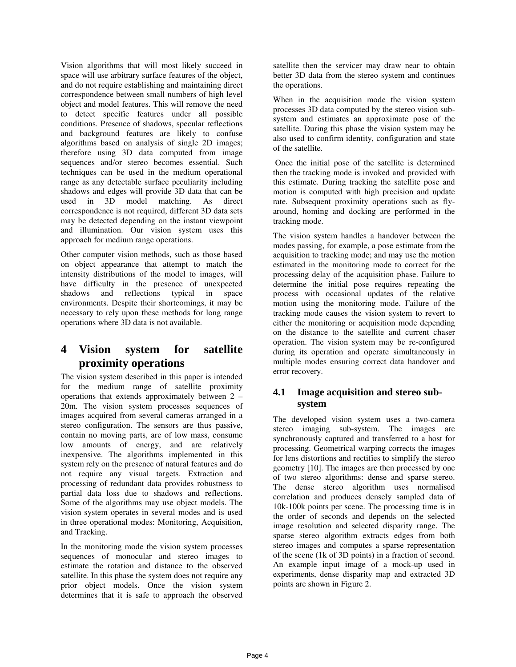Vision algorithms that will most likely succeed in space will use arbitrary surface features of the object, and do not require establishing and maintaining direct correspondence between small numbers of high level object and model features. This will remove the need to detect specific features under all possible conditions. Presence of shadows, specular reflections and background features are likely to confuse algorithms based on analysis of single 2D images; therefore using 3D data computed from image sequences and/or stereo becomes essential. Such techniques can be used in the medium operational range as any detectable surface peculiarity including shadows and edges will provide 3D data that can be used in 3D model matching. As direct correspondence is not required, different 3D data sets may be detected depending on the instant viewpoint and illumination. Our vision system uses this approach for medium range operations.

Other computer vision methods, such as those based on object appearance that attempt to match the intensity distributions of the model to images, will have difficulty in the presence of unexpected shadows and reflections typical in space environments. Despite their shortcomings, it may be necessary to rely upon these methods for long range operations where 3D data is not available.

## **4 Vision system for satellite proximity operations**

The vision system described in this paper is intended for the medium range of satellite proximity operations that extends approximately between 2 – 20m. The vision system processes sequences of images acquired from several cameras arranged in a stereo configuration. The sensors are thus passive, contain no moving parts, are of low mass, consume low amounts of energy, and are relatively inexpensive. The algorithms implemented in this system rely on the presence of natural features and do not require any visual targets. Extraction and processing of redundant data provides robustness to partial data loss due to shadows and reflections. Some of the algorithms may use object models. The vision system operates in several modes and is used in three operational modes: Monitoring, Acquisition, and Tracking.

In the monitoring mode the vision system processes sequences of monocular and stereo images to estimate the rotation and distance to the observed satellite. In this phase the system does not require any prior object models. Once the vision system determines that it is safe to approach the observed

satellite then the servicer may draw near to obtain better 3D data from the stereo system and continues the operations.

When in the acquisition mode the vision system processes 3D data computed by the stereo vision subsystem and estimates an approximate pose of the satellite. During this phase the vision system may be also used to confirm identity, configuration and state of the satellite.

 Once the initial pose of the satellite is determined then the tracking mode is invoked and provided with this estimate. During tracking the satellite pose and motion is computed with high precision and update rate. Subsequent proximity operations such as flyaround, homing and docking are performed in the tracking mode.

The vision system handles a handover between the modes passing, for example, a pose estimate from the acquisition to tracking mode; and may use the motion estimated in the monitoring mode to correct for the processing delay of the acquisition phase. Failure to determine the initial pose requires repeating the process with occasional updates of the relative motion using the monitoring mode. Failure of the tracking mode causes the vision system to revert to either the monitoring or acquisition mode depending on the distance to the satellite and current chaser operation. The vision system may be re-configured during its operation and operate simultaneously in multiple modes ensuring correct data handover and error recovery.

### **4.1 Image acquisition and stereo subsystem**

The developed vision system uses a two-camera stereo imaging sub-system. The images are synchronously captured and transferred to a host for processing. Geometrical warping corrects the images for lens distortions and rectifies to simplify the stereo geometry [10]. The images are then processed by one of two stereo algorithms: dense and sparse stereo. The dense stereo algorithm uses normalised correlation and produces densely sampled data of 10k-100k points per scene. The processing time is in the order of seconds and depends on the selected image resolution and selected disparity range. The sparse stereo algorithm extracts edges from both stereo images and computes a sparse representation of the scene (1k of 3D points) in a fraction of second. An example input image of a mock-up used in experiments, dense disparity map and extracted 3D points are shown in Figure 2.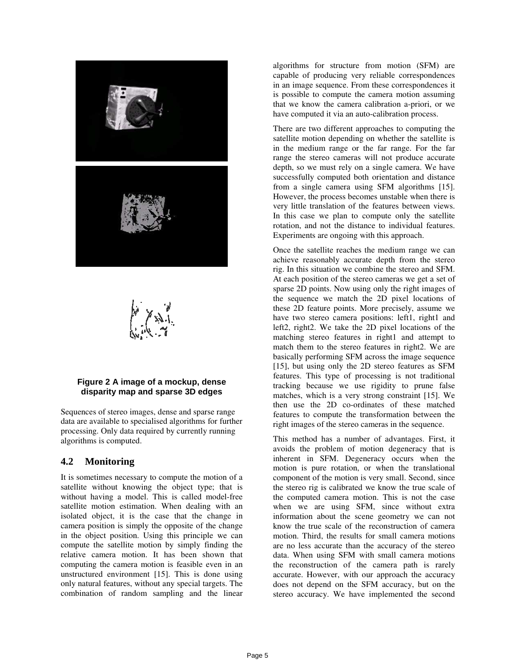

#### **Figure 2 A image of a mockup, dense disparity map and sparse 3D edges**

Sequences of stereo images, dense and sparse range data are available to specialised algorithms for further processing. Only data required by currently running algorithms is computed.

### **4.2 Monitoring**

It is sometimes necessary to compute the motion of a satellite without knowing the object type; that is without having a model. This is called model-free satellite motion estimation. When dealing with an isolated object, it is the case that the change in camera position is simply the opposite of the change in the object position. Using this principle we can compute the satellite motion by simply finding the relative camera motion. It has been shown that computing the camera motion is feasible even in an unstructured environment [15]. This is done using only natural features, without any special targets. The combination of random sampling and the linear

algorithms for structure from motion (SFM) are capable of producing very reliable correspondences in an image sequence. From these correspondences it is possible to compute the camera motion assuming that we know the camera calibration a-priori, or we have computed it via an auto-calibration process.

There are two different approaches to computing the satellite motion depending on whether the satellite is in the medium range or the far range. For the far range the stereo cameras will not produce accurate depth, so we must rely on a single camera. We have successfully computed both orientation and distance from a single camera using SFM algorithms [15]. However, the process becomes unstable when there is very little translation of the features between views. In this case we plan to compute only the satellite rotation, and not the distance to individual features. Experiments are ongoing with this approach.

Once the satellite reaches the medium range we can achieve reasonably accurate depth from the stereo rig. In this situation we combine the stereo and SFM. At each position of the stereo cameras we get a set of sparse 2D points. Now using only the right images of the sequence we match the 2D pixel locations of these 2D feature points. More precisely, assume we have two stereo camera positions: left1, right1 and left2, right2. We take the 2D pixel locations of the matching stereo features in right1 and attempt to match them to the stereo features in right2. We are basically performing SFM across the image sequence [15], but using only the 2D stereo features as SFM features. This type of processing is not traditional tracking because we use rigidity to prune false matches, which is a very strong constraint [15]. We then use the 2D co-ordinates of these matched features to compute the transformation between the right images of the stereo cameras in the sequence.

This method has a number of advantages. First, it avoids the problem of motion degeneracy that is inherent in SFM. Degeneracy occurs when the motion is pure rotation, or when the translational component of the motion is very small. Second, since the stereo rig is calibrated we know the true scale of the computed camera motion. This is not the case when we are using SFM, since without extra information about the scene geometry we can not know the true scale of the reconstruction of camera motion. Third, the results for small camera motions are no less accurate than the accuracy of the stereo data. When using SFM with small camera motions the reconstruction of the camera path is rarely accurate. However, with our approach the accuracy does not depend on the SFM accuracy, but on the stereo accuracy. We have implemented the second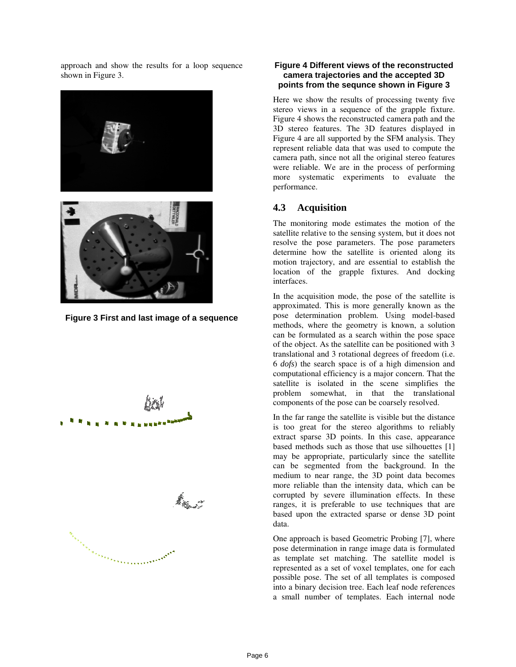approach and show the results for a loop sequence shown in Figure 3.





**Figure 3 First and last image of a sequence**



#### **Figure 4 Different views of the reconstructed camera trajectories and the accepted 3D points from the sequnce shown in Figure 3**

Here we show the results of processing twenty five stereo views in a sequence of the grapple fixture. Figure 4 shows the reconstructed camera path and the 3D stereo features. The 3D features displayed in Figure 4 are all supported by the SFM analysis. They represent reliable data that was used to compute the camera path, since not all the original stereo features were reliable. We are in the process of performing more systematic experiments to evaluate the performance.

### **4.3 Acquisition**

The monitoring mode estimates the motion of the satellite relative to the sensing system, but it does not resolve the pose parameters. The pose parameters determine how the satellite is oriented along its motion trajectory, and are essential to establish the location of the grapple fixtures. And docking interfaces.

In the acquisition mode, the pose of the satellite is approximated. This is more generally known as the pose determination problem. Using model-based methods, where the geometry is known, a solution can be formulated as a search within the pose space of the object. As the satellite can be positioned with 3 translational and 3 rotational degrees of freedom (i.e. 6 *dofs*) the search space is of a high dimension and computational efficiency is a major concern. That the satellite is isolated in the scene simplifies the problem somewhat, in that the translational components of the pose can be coarsely resolved.

In the far range the satellite is visible but the distance is too great for the stereo algorithms to reliably extract sparse 3D points. In this case, appearance based methods such as those that use silhouettes [1] may be appropriate, particularly since the satellite can be segmented from the background. In the medium to near range, the 3D point data becomes more reliable than the intensity data, which can be corrupted by severe illumination effects. In these ranges, it is preferable to use techniques that are based upon the extracted sparse or dense 3D point data.

One approach is based Geometric Probing [7], where pose determination in range image data is formulated as template set matching. The satellite model is represented as a set of voxel templates, one for each possible pose. The set of all templates is composed into a binary decision tree. Each leaf node references a small number of templates. Each internal node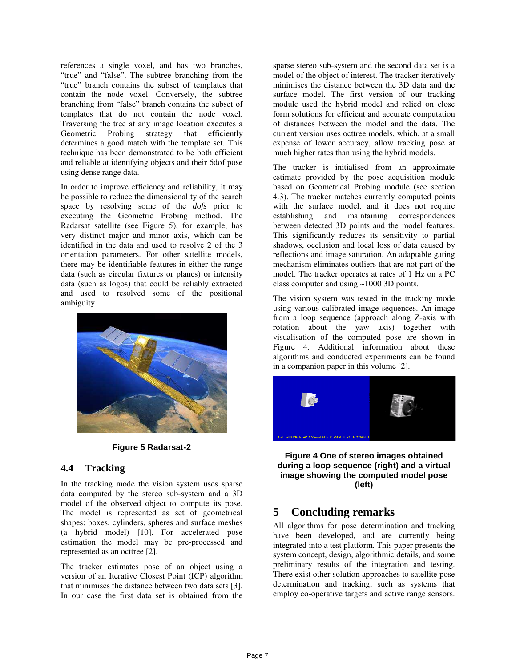references a single voxel, and has two branches, "true" and "false". The subtree branching from the "true" branch contains the subset of templates that contain the node voxel. Conversely, the subtree branching from "false" branch contains the subset of templates that do not contain the node voxel. Traversing the tree at any image location executes a Geometric Probing strategy that efficiently determines a good match with the template set. This technique has been demonstrated to be both efficient and reliable at identifying objects and their 6dof pose using dense range data.

In order to improve efficiency and reliability, it may be possible to reduce the dimensionality of the search space by resolving some of the *dofs* prior to executing the Geometric Probing method. The Radarsat satellite (see Figure 5), for example, has very distinct major and minor axis, which can be identified in the data and used to resolve 2 of the 3 orientation parameters. For other satellite models, there may be identifiable features in either the range data (such as circular fixtures or planes) or intensity data (such as logos) that could be reliably extracted and used to resolved some of the positional ambiguity.



**Figure 5 Radarsat-2**

#### **4.4 Tracking**

In the tracking mode the vision system uses sparse data computed by the stereo sub-system and a 3D model of the observed object to compute its pose. The model is represented as set of geometrical shapes: boxes, cylinders, spheres and surface meshes (a hybrid model) [10]. For accelerated pose estimation the model may be pre-processed and represented as an octtree [2].

The tracker estimates pose of an object using a version of an Iterative Closest Point (ICP) algorithm that minimises the distance between two data sets [3]. In our case the first data set is obtained from the

sparse stereo sub-system and the second data set is a model of the object of interest. The tracker iteratively minimises the distance between the 3D data and the surface model. The first version of our tracking module used the hybrid model and relied on close form solutions for efficient and accurate computation of distances between the model and the data. The current version uses octtree models, which, at a small expense of lower accuracy, allow tracking pose at much higher rates than using the hybrid models.

The tracker is initialised from an approximate estimate provided by the pose acquisition module based on Geometrical Probing module (see section 4.3). The tracker matches currently computed points with the surface model, and it does not require establishing and maintaining correspondences between detected 3D points and the model features. This significantly reduces its sensitivity to partial shadows, occlusion and local loss of data caused by reflections and image saturation. An adaptable gating mechanism eliminates outliers that are not part of the model. The tracker operates at rates of 1 Hz on a PC class computer and using ~1000 3D points.

The vision system was tested in the tracking mode using various calibrated image sequences. An image from a loop sequence (approach along Z-axis with rotation about the yaw axis) together with visualisation of the computed pose are shown in Figure 4. Additional information about these algorithms and conducted experiments can be found in a companion paper in this volume [2].



**Figure 4 One of stereo images obtained during a loop sequence (right) and a virtual image showing the computed model pose (left)**

### **5 Concluding remarks**

All algorithms for pose determination and tracking have been developed, and are currently being integrated into a test platform. This paper presents the system concept, design, algorithmic details, and some preliminary results of the integration and testing. There exist other solution approaches to satellite pose determination and tracking, such as systems that employ co-operative targets and active range sensors.